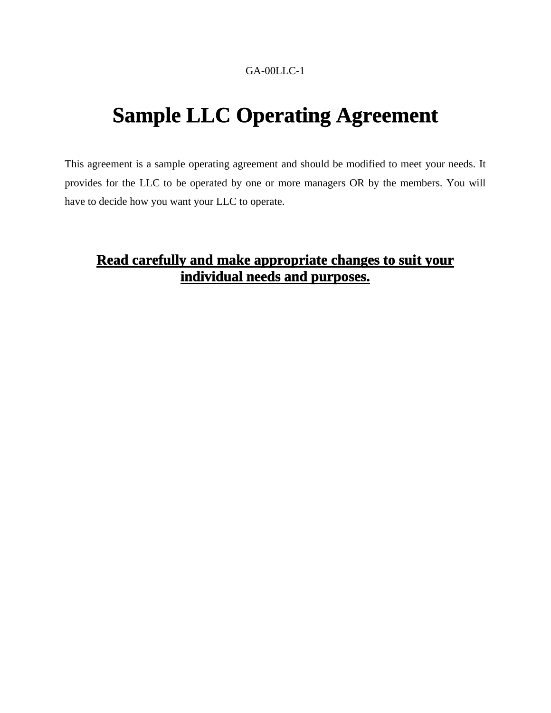#### GA-00LLC-1

# **Sample LLC Operating Agreement**

This agreement is a sample operating agreement and should be modified to meet your needs. It provides for the LLC to be operated by one or more managers OR by the members. You will have to decide how you want your LLC to operate.

# **Read carefully and make appropriate changes to suit your individual needs and purposes.**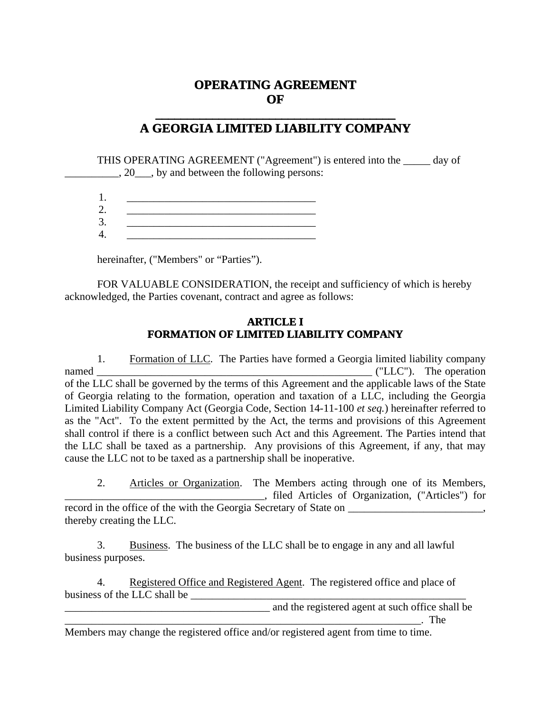# **OPERATING AGREEMENT OF**

# **\_\_\_\_\_\_\_\_\_\_\_\_\_\_\_\_\_\_\_\_\_\_\_\_\_\_\_\_\_\_\_\_\_\_\_\_\_\_ A GEORGIA LIMITED LIABILITY COMPANY**

THIS OPERATING AGREEMENT ("Agreement") is entered into the \_\_\_\_\_ day of  $\Box$ , 20  $\Box$ , by and between the following persons:

1. \_\_\_\_\_\_\_\_\_\_\_\_\_\_\_\_\_\_\_\_\_\_\_\_\_\_\_\_\_\_\_\_\_\_\_

 $2.$ 3. \_\_\_\_\_\_\_\_\_\_\_\_\_\_\_\_\_\_\_\_\_\_\_\_\_\_\_\_\_\_\_\_\_\_\_

4. \_\_\_\_\_\_\_\_\_\_\_\_\_\_\_\_\_\_\_\_\_\_\_\_\_\_\_\_\_\_\_\_\_\_\_

hereinafter, ("Members" or "Parties").

FOR VALUABLE CONSIDERATION, the receipt and sufficiency of which is hereby acknowledged, the Parties covenant, contract and agree as follows:

#### **ARTICLE I FORMATION OF LIMITED LIABILITY COMPANY**

1. Formation of LLC. The Parties have formed a Georgia limited liability company named \_\_\_\_\_\_\_\_\_\_\_\_\_\_\_\_\_\_\_\_\_\_\_\_\_\_\_\_\_\_\_\_\_\_\_\_\_\_\_\_\_\_\_\_\_\_\_\_\_\_\_ ("LLC"). The operation of the LLC shall be governed by the terms of this Agreement and the applicable laws of the State of Georgia relating to the formation, operation and taxation of a LLC, including the Georgia Limited Liability Company Act (Georgia Code, Section 14-11-100 *et seq.*) hereinafter referred to as the "Act". To the extent permitted by the Act, the terms and provisions of this Agreement shall control if there is a conflict between such Act and this Agreement. The Parties intend that the LLC shall be taxed as a partnership. Any provisions of this Agreement, if any, that may cause the LLC not to be taxed as a partnership shall be inoperative.

2. Articles or Organization. The Members acting through one of its Members, \_\_\_\_\_\_\_\_\_\_\_\_\_\_\_\_\_\_\_\_\_\_\_\_\_\_\_\_\_\_\_\_\_\_\_\_\_, filed Articles of Organization, ("Articles") for record in the office of the with the Georgia Secretary of State on \_\_\_\_\_\_\_\_\_\_\_\_\_\_, thereby creating the LLC.

3. Business. The business of the LLC shall be to engage in any and all lawful business purposes.

4. Registered Office and Registered Agent. The registered office and place of business of the LLC shall be

and the registered agent at such office shall be

 $\Box$  The

Members may change the registered office and/or registered agent from time to time.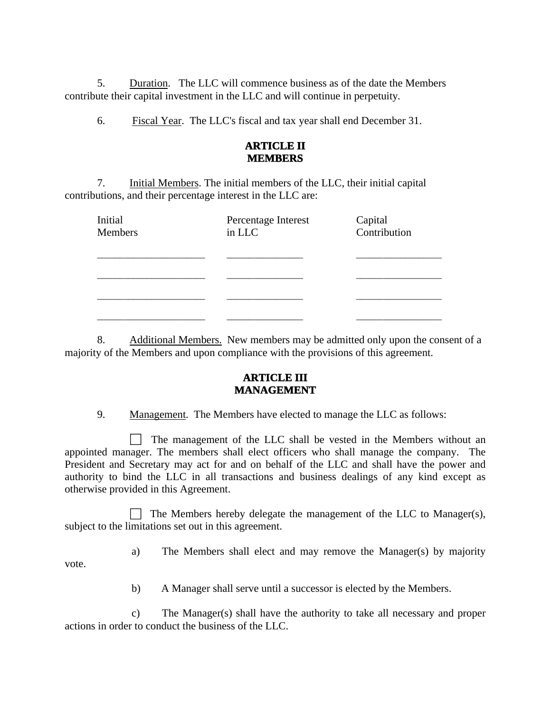5. Duration. The LLC will commence business as of the date the Members contribute their capital investment in the LLC and will continue in perpetuity.

6. Fiscal Year. The LLC's fiscal and tax year shall end December 31.

#### **ARTICLE II MEMBERS**

7. Initial Members. The initial members of the LLC, their initial capital contributions, and their percentage interest in the LLC are:

| Initial<br>Members | Percentage Interest<br>in LLC | Capital<br>Contribution |
|--------------------|-------------------------------|-------------------------|
|                    |                               |                         |
|                    |                               |                         |
|                    |                               |                         |
|                    |                               |                         |

8. Additional Members. New members may be admitted only upon the consent of a majority of the Members and upon compliance with the provisions of this agreement.

#### **ARTICLE III MANAGEMENT**

9. Management. The Members have elected to manage the LLC as follows:

 $\Box$  The management of the LLC shall be vested in the Members without an appointed manager. The members shall elect officers who shall manage the company. The President and Secretary may act for and on behalf of the LLC and shall have the power and authority to bind the LLC in all transactions and business dealings of any kind except as otherwise provided in this Agreement.

 $\Box$  The Members hereby delegate the management of the LLC to Manager(s), subject to the limitations set out in this agreement.

vote.

a) The Members shall elect and may remove the Manager(s) by majority

b) A Manager shall serve until a successor is elected by the Members.

c) The Manager(s) shall have the authority to take all necessary and proper actions in order to conduct the business of the LLC.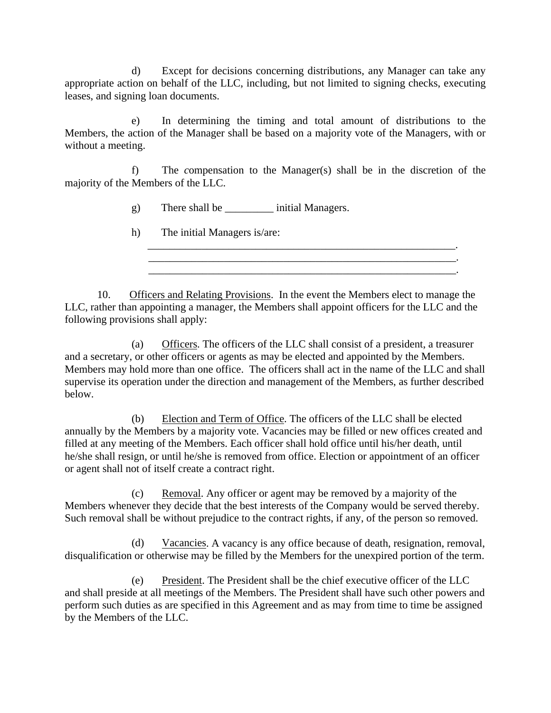d) Except for decisions concerning distributions, any Manager can take any appropriate action on behalf of the LLC, including, but not limited to signing checks, executing leases, and signing loan documents.

e) In determining the timing and total amount of distributions to the Members, the action of the Manager shall be based on a majority vote of the Managers, with or without a meeting.

f) The *c*ompensation to the Manager(s) shall be in the discretion of the majority of the Members of the LLC.

\_\_\_\_\_\_\_\_\_\_\_\_\_\_\_\_\_\_\_\_\_\_\_\_\_\_\_\_\_\_\_\_\_\_\_\_\_\_\_\_\_\_\_\_\_\_\_\_\_\_\_\_\_\_\_\_\_.

g) There shall be \_\_\_\_\_\_\_\_\_ initial Managers.

h) The initial Managers is/are:

10. Officers and Relating Provisions. In the event the Members elect to manage the LLC, rather than appointing a manager, the Members shall appoint officers for the LLC and the following provisions shall apply:

 $\overline{\phantom{a}}$  ,  $\overline{\phantom{a}}$  ,  $\overline{\phantom{a}}$  ,  $\overline{\phantom{a}}$  ,  $\overline{\phantom{a}}$  ,  $\overline{\phantom{a}}$  ,  $\overline{\phantom{a}}$  ,  $\overline{\phantom{a}}$  ,  $\overline{\phantom{a}}$  ,  $\overline{\phantom{a}}$  ,  $\overline{\phantom{a}}$  ,  $\overline{\phantom{a}}$  ,  $\overline{\phantom{a}}$  ,  $\overline{\phantom{a}}$  ,  $\overline{\phantom{a}}$  ,  $\overline{\phantom{a}}$ 

(a) Officers. The officers of the LLC shall consist of a president, a treasurer and a secretary, or other officers or agents as may be elected and appointed by the Members. Members may hold more than one office. The officers shall act in the name of the LLC and shall supervise its operation under the direction and management of the Members, as further described below.

(b) Election and Term of Office. The officers of the LLC shall be elected annually by the Members by a majority vote. Vacancies may be filled or new offices created and filled at any meeting of the Members. Each officer shall hold office until his/her death, until he/she shall resign, or until he/she is removed from office. Election or appointment of an officer or agent shall not of itself create a contract right.

(c) Removal. Any officer or agent may be removed by a majority of the Members whenever they decide that the best interests of the Company would be served thereby. Such removal shall be without prejudice to the contract rights, if any, of the person so removed.

(d) Vacancies. A vacancy is any office because of death, resignation, removal, disqualification or otherwise may be filled by the Members for the unexpired portion of the term.

(e) President. The President shall be the chief executive officer of the LLC and shall preside at all meetings of the Members. The President shall have such other powers and perform such duties as are specified in this Agreement and as may from time to time be assigned by the Members of the LLC.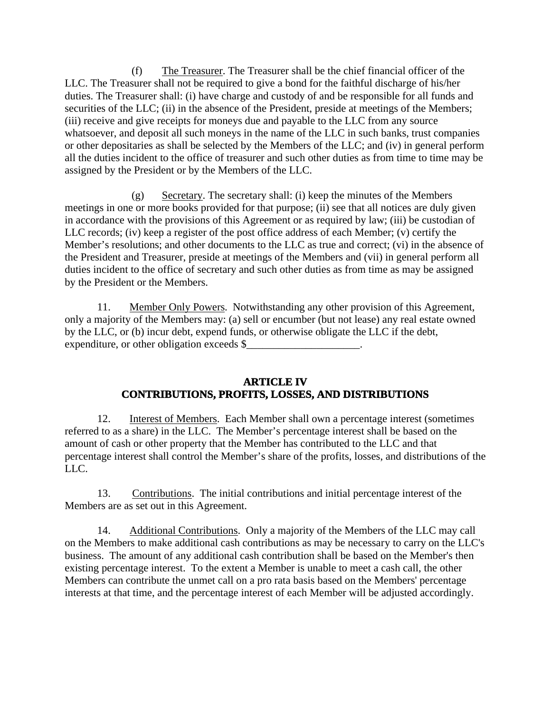(f) The Treasurer. The Treasurer shall be the chief financial officer of the LLC. The Treasurer shall not be required to give a bond for the faithful discharge of his/her duties. The Treasurer shall: (i) have charge and custody of and be responsible for all funds and securities of the LLC; (ii) in the absence of the President, preside at meetings of the Members; (iii) receive and give receipts for moneys due and payable to the LLC from any source whatsoever, and deposit all such moneys in the name of the LLC in such banks, trust companies or other depositaries as shall be selected by the Members of the LLC; and (iv) in general perform all the duties incident to the office of treasurer and such other duties as from time to time may be assigned by the President or by the Members of the LLC.

(g) Secretary. The secretary shall: (i) keep the minutes of the Members meetings in one or more books provided for that purpose; (ii) see that all notices are duly given in accordance with the provisions of this Agreement or as required by law; (iii) be custodian of LLC records; (iv) keep a register of the post office address of each Member; (v) certify the Member's resolutions; and other documents to the LLC as true and correct; (vi) in the absence of the President and Treasurer, preside at meetings of the Members and (vii) in general perform all duties incident to the office of secretary and such other duties as from time as may be assigned by the President or the Members.

11. Member Only Powers. Notwithstanding any other provision of this Agreement, only a majority of the Members may: (a) sell or encumber (but not lease) any real estate owned by the LLC, or (b) incur debt, expend funds, or otherwise obligate the LLC if the debt, expenditure, or other obligation exceeds \$

#### **ARTICLE IV CONTRIBUTIONS, PROFITS, LOSSES, AND DISTRIBUTIONS**

12. Interest of Members. Each Member shall own a percentage interest (sometimes referred to as a share) in the LLC. The Member's percentage interest shall be based on the amount of cash or other property that the Member has contributed to the LLC and that percentage interest shall control the Member's share of the profits, losses, and distributions of the LLC.

13. Contributions. The initial contributions and initial percentage interest of the Members are as set out in this Agreement.

14. Additional Contributions. Only a majority of the Members of the LLC may call on the Members to make additional cash contributions as may be necessary to carry on the LLC's business. The amount of any additional cash contribution shall be based on the Member's then existing percentage interest. To the extent a Member is unable to meet a cash call, the other Members can contribute the unmet call on a pro rata basis based on the Members' percentage interests at that time, and the percentage interest of each Member will be adjusted accordingly.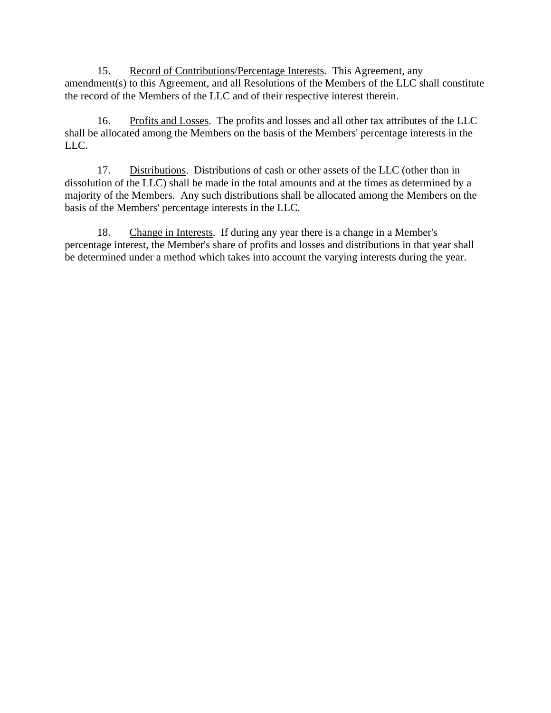15. Record of Contributions/Percentage Interests. This Agreement, any amendment(s) to this Agreement, and all Resolutions of the Members of the LLC shall constitute the record of the Members of the LLC and of their respective interest therein.

16. Profits and Losses. The profits and losses and all other tax attributes of the LLC shall be allocated among the Members on the basis of the Members' percentage interests in the LLC.

17. Distributions. Distributions of cash or other assets of the LLC (other than in dissolution of the LLC) shall be made in the total amounts and at the times as determined by a majority of the Members. Any such distributions shall be allocated among the Members on the basis of the Members' percentage interests in the LLC.

18. Change in Interests. If during any year there is a change in a Member's percentage interest, the Member's share of profits and losses and distributions in that year shall be determined under a method which takes into account the varying interests during the year.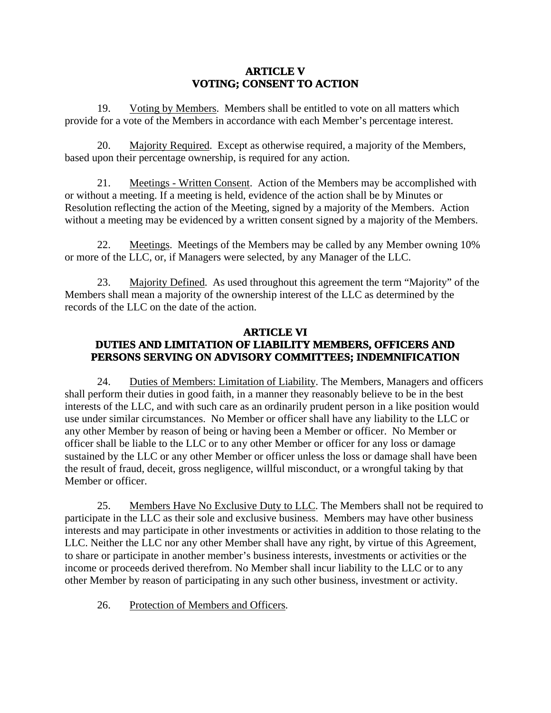#### **ARTICLE V VOTING; CONSENT TO ACTION**

19. Voting by Members. Members shall be entitled to vote on all matters which provide for a vote of the Members in accordance with each Member's percentage interest.

20. Majority Required. Except as otherwise required, a majority of the Members, based upon their percentage ownership, is required for any action.

21. Meetings - Written Consent. Action of the Members may be accomplished with or without a meeting. If a meeting is held, evidence of the action shall be by Minutes or Resolution reflecting the action of the Meeting, signed by a majority of the Members. Action without a meeting may be evidenced by a written consent signed by a majority of the Members.

22. Meetings. Meetings of the Members may be called by any Member owning 10% or more of the LLC, or, if Managers were selected, by any Manager of the LLC.

23. Majority Defined. As used throughout this agreement the term "Majority" of the Members shall mean a majority of the ownership interest of the LLC as determined by the records of the LLC on the date of the action.

#### **ARTICLE VI DUTIES AND LIMITATION OF LIABILITY MEMBERS, OFFICERS AND PERSONS SERVING ON ADVISORY COMMITTEES; INDEMNIFICATION**

24. Duties of Members: Limitation of Liability. The Members, Managers and officers shall perform their duties in good faith, in a manner they reasonably believe to be in the best interests of the LLC, and with such care as an ordinarily prudent person in a like position would use under similar circumstances. No Member or officer shall have any liability to the LLC or any other Member by reason of being or having been a Member or officer. No Member or officer shall be liable to the LLC or to any other Member or officer for any loss or damage sustained by the LLC or any other Member or officer unless the loss or damage shall have been the result of fraud, deceit, gross negligence, willful misconduct, or a wrongful taking by that Member or officer.

25. Members Have No Exclusive Duty to LLC. The Members shall not be required to participate in the LLC as their sole and exclusive business. Members may have other business interests and may participate in other investments or activities in addition to those relating to the LLC. Neither the LLC nor any other Member shall have any right, by virtue of this Agreement, to share or participate in another member's business interests, investments or activities or the income or proceeds derived therefrom. No Member shall incur liability to the LLC or to any other Member by reason of participating in any such other business, investment or activity.

26. Protection of Members and Officers.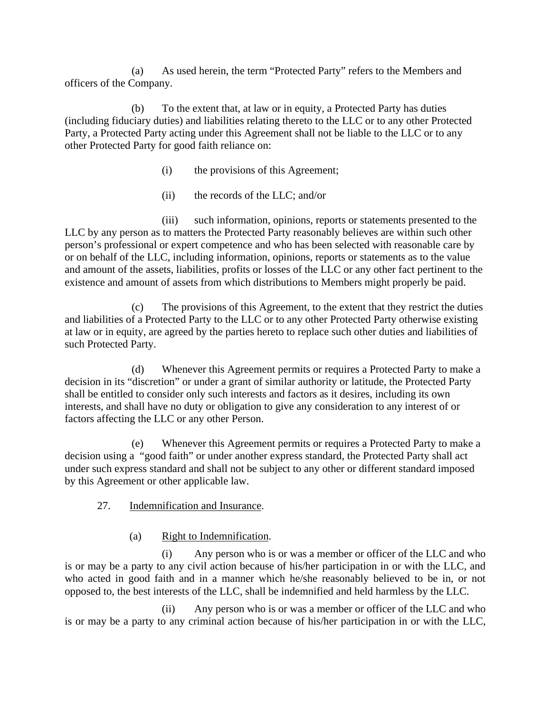(a) As used herein, the term "Protected Party" refers to the Members and officers of the Company.

(b) To the extent that, at law or in equity, a Protected Party has duties (including fiduciary duties) and liabilities relating thereto to the LLC or to any other Protected Party, a Protected Party acting under this Agreement shall not be liable to the LLC or to any other Protected Party for good faith reliance on:

- (i) the provisions of this Agreement;
- (ii) the records of the LLC; and/or

(iii) such information, opinions, reports or statements presented to the LLC by any person as to matters the Protected Party reasonably believes are within such other person's professional or expert competence and who has been selected with reasonable care by or on behalf of the LLC, including information, opinions, reports or statements as to the value and amount of the assets, liabilities, profits or losses of the LLC or any other fact pertinent to the existence and amount of assets from which distributions to Members might properly be paid.

(c) The provisions of this Agreement, to the extent that they restrict the duties and liabilities of a Protected Party to the LLC or to any other Protected Party otherwise existing at law or in equity, are agreed by the parties hereto to replace such other duties and liabilities of such Protected Party.

(d) Whenever this Agreement permits or requires a Protected Party to make a decision in its "discretion" or under a grant of similar authority or latitude, the Protected Party shall be entitled to consider only such interests and factors as it desires, including its own interests, and shall have no duty or obligation to give any consideration to any interest of or factors affecting the LLC or any other Person.

(e) Whenever this Agreement permits or requires a Protected Party to make a decision using a "good faith" or under another express standard, the Protected Party shall act under such express standard and shall not be subject to any other or different standard imposed by this Agreement or other applicable law.

- 27. Indemnification and Insurance.
	- (a) Right to Indemnification.

(i) Any person who is or was a member or officer of the LLC and who is or may be a party to any civil action because of his/her participation in or with the LLC, and who acted in good faith and in a manner which he/she reasonably believed to be in, or not opposed to, the best interests of the LLC, shall be indemnified and held harmless by the LLC.

(ii) Any person who is or was a member or officer of the LLC and who is or may be a party to any criminal action because of his/her participation in or with the LLC,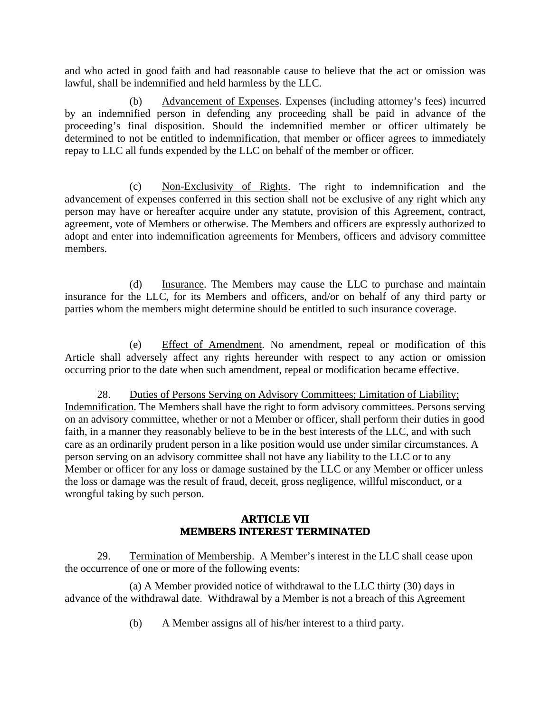and who acted in good faith and had reasonable cause to believe that the act or omission was lawful, shall be indemnified and held harmless by the LLC.

(b) Advancement of Expenses. Expenses (including attorney's fees) incurred by an indemnified person in defending any proceeding shall be paid in advance of the proceeding's final disposition. Should the indemnified member or officer ultimately be determined to not be entitled to indemnification, that member or officer agrees to immediately repay to LLC all funds expended by the LLC on behalf of the member or officer.

(c) Non-Exclusivity of Rights. The right to indemnification and the advancement of expenses conferred in this section shall not be exclusive of any right which any person may have or hereafter acquire under any statute, provision of this Agreement, contract, agreement, vote of Members or otherwise. The Members and officers are expressly authorized to adopt and enter into indemnification agreements for Members, officers and advisory committee members.

(d) Insurance. The Members may cause the LLC to purchase and maintain insurance for the LLC, for its Members and officers, and/or on behalf of any third party or parties whom the members might determine should be entitled to such insurance coverage.

(e) Effect of Amendment. No amendment, repeal or modification of this Article shall adversely affect any rights hereunder with respect to any action or omission occurring prior to the date when such amendment, repeal or modification became effective.

28. Duties of Persons Serving on Advisory Committees; Limitation of Liability; Indemnification. The Members shall have the right to form advisory committees. Persons serving on an advisory committee, whether or not a Member or officer, shall perform their duties in good faith, in a manner they reasonably believe to be in the best interests of the LLC, and with such care as an ordinarily prudent person in a like position would use under similar circumstances. A person serving on an advisory committee shall not have any liability to the LLC or to any Member or officer for any loss or damage sustained by the LLC or any Member or officer unless the loss or damage was the result of fraud, deceit, gross negligence, willful misconduct, or a wrongful taking by such person.

#### **ARTICLE VII MEMBERS INTEREST TERMINATED**

29. Termination of Membership. A Member's interest in the LLC shall cease upon the occurrence of one or more of the following events:

(a) A Member provided notice of withdrawal to the LLC thirty (30) days in advance of the withdrawal date. Withdrawal by a Member is not a breach of this Agreement

(b) A Member assigns all of his/her interest to a third party.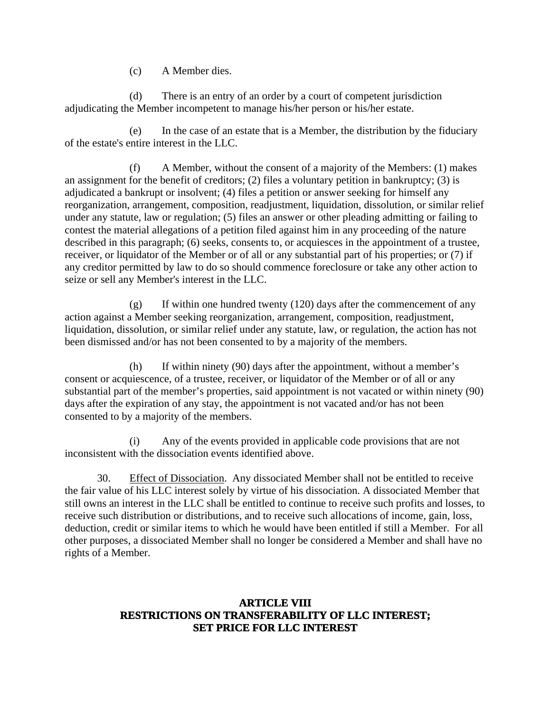(c) A Member dies.

(d) There is an entry of an order by a court of competent jurisdiction adjudicating the Member incompetent to manage his/her person or his/her estate.

(e) In the case of an estate that is a Member, the distribution by the fiduciary of the estate's entire interest in the LLC.

(f) A Member, without the consent of a majority of the Members: (1) makes an assignment for the benefit of creditors; (2) files a voluntary petition in bankruptcy; (3) is adjudicated a bankrupt or insolvent; (4) files a petition or answer seeking for himself any reorganization, arrangement, composition, readjustment, liquidation, dissolution, or similar relief under any statute, law or regulation; (5) files an answer or other pleading admitting or failing to contest the material allegations of a petition filed against him in any proceeding of the nature described in this paragraph; (6) seeks, consents to, or acquiesces in the appointment of a trustee, receiver, or liquidator of the Member or of all or any substantial part of his properties; or (7) if any creditor permitted by law to do so should commence foreclosure or take any other action to seize or sell any Member's interest in the LLC.

(g) If within one hundred twenty (120) days after the commencement of any action against a Member seeking reorganization, arrangement, composition, readjustment, liquidation, dissolution, or similar relief under any statute, law, or regulation, the action has not been dismissed and/or has not been consented to by a majority of the members.

(h) If within ninety (90) days after the appointment, without a member's consent or acquiescence, of a trustee, receiver, or liquidator of the Member or of all or any substantial part of the member's properties, said appointment is not vacated or within ninety (90) days after the expiration of any stay, the appointment is not vacated and/or has not been consented to by a majority of the members.

(i) Any of the events provided in applicable code provisions that are not inconsistent with the dissociation events identified above.

30. Effect of Dissociation. Any dissociated Member shall not be entitled to receive the fair value of his LLC interest solely by virtue of his dissociation. A dissociated Member that still owns an interest in the LLC shall be entitled to continue to receive such profits and losses, to receive such distribution or distributions, and to receive such allocations of income, gain, loss, deduction, credit or similar items to which he would have been entitled if still a Member. For all other purposes, a dissociated Member shall no longer be considered a Member and shall have no rights of a Member.

#### **ARTICLE VIII RESTRICTIONS ON TRANSFERABILITY OF LLC INTEREST; SET PRICE FOR LLC INTEREST**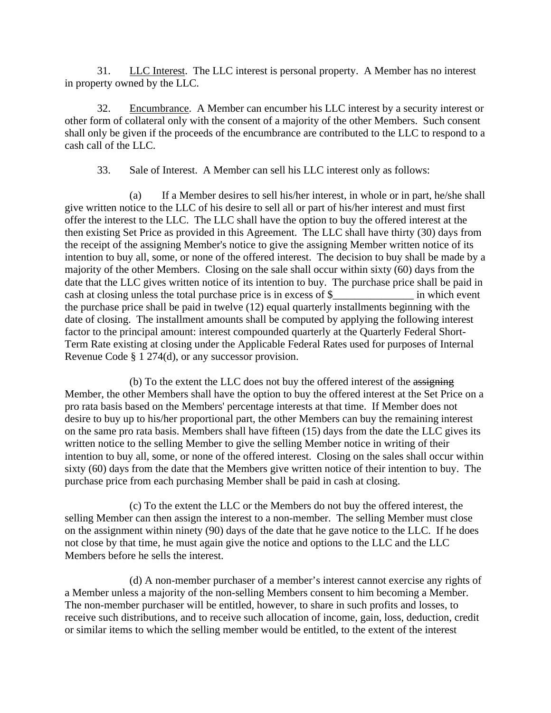31. LLC Interest. The LLC interest is personal property. A Member has no interest in property owned by the LLC.

32. Encumbrance. A Member can encumber his LLC interest by a security interest or other form of collateral only with the consent of a majority of the other Members. Such consent shall only be given if the proceeds of the encumbrance are contributed to the LLC to respond to a cash call of the LLC.

33. Sale of Interest. A Member can sell his LLC interest only as follows:

(a) If a Member desires to sell his/her interest, in whole or in part, he/she shall give written notice to the LLC of his desire to sell all or part of his/her interest and must first offer the interest to the LLC. The LLC shall have the option to buy the offered interest at the then existing Set Price as provided in this Agreement. The LLC shall have thirty (30) days from the receipt of the assigning Member's notice to give the assigning Member written notice of its intention to buy all, some, or none of the offered interest. The decision to buy shall be made by a majority of the other Members. Closing on the sale shall occur within sixty (60) days from the date that the LLC gives written notice of its intention to buy. The purchase price shall be paid in cash at closing unless the total purchase price is in excess of \$\_\_\_\_\_\_\_\_\_\_\_\_\_\_\_ in which event the purchase price shall be paid in twelve (12) equal quarterly installments beginning with the date of closing. The installment amounts shall be computed by applying the following interest factor to the principal amount: interest compounded quarterly at the Quarterly Federal Short-Term Rate existing at closing under the Applicable Federal Rates used for purposes of Internal Revenue Code § 1 274(d), or any successor provision.

(b) To the extent the LLC does not buy the offered interest of the assigning Member, the other Members shall have the option to buy the offered interest at the Set Price on a pro rata basis based on the Members' percentage interests at that time. If Member does not desire to buy up to his/her proportional part, the other Members can buy the remaining interest on the same pro rata basis. Members shall have fifteen (15) days from the date the LLC gives its written notice to the selling Member to give the selling Member notice in writing of their intention to buy all, some, or none of the offered interest. Closing on the sales shall occur within sixty (60) days from the date that the Members give written notice of their intention to buy. The purchase price from each purchasing Member shall be paid in cash at closing.

(c) To the extent the LLC or the Members do not buy the offered interest, the selling Member can then assign the interest to a non-member. The selling Member must close on the assignment within ninety (90) days of the date that he gave notice to the LLC. If he does not close by that time, he must again give the notice and options to the LLC and the LLC Members before he sells the interest.

(d) A non-member purchaser of a member's interest cannot exercise any rights of a Member unless a majority of the non-selling Members consent to him becoming a Member. The non-member purchaser will be entitled, however, to share in such profits and losses, to receive such distributions, and to receive such allocation of income, gain, loss, deduction, credit or similar items to which the selling member would be entitled, to the extent of the interest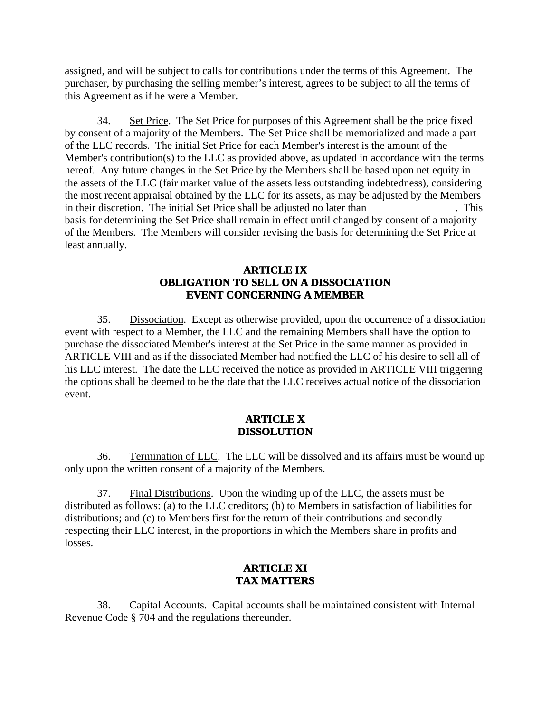assigned, and will be subject to calls for contributions under the terms of this Agreement. The purchaser, by purchasing the selling member's interest, agrees to be subject to all the terms of this Agreement as if he were a Member.

34. Set Price. The Set Price for purposes of this Agreement shall be the price fixed by consent of a majority of the Members. The Set Price shall be memorialized and made a part of the LLC records. The initial Set Price for each Member's interest is the amount of the Member's contribution(s) to the LLC as provided above, as updated in accordance with the terms hereof. Any future changes in the Set Price by the Members shall be based upon net equity in the assets of the LLC (fair market value of the assets less outstanding indebtedness), considering the most recent appraisal obtained by the LLC for its assets, as may be adjusted by the Members in their discretion. The initial Set Price shall be adjusted no later than \_\_\_\_\_\_\_\_\_\_\_\_\_\_\_\_. This basis for determining the Set Price shall remain in effect until changed by consent of a majority of the Members. The Members will consider revising the basis for determining the Set Price at least annually.

#### **ARTICLE IX OBLIGATION TO SELL ON A DISSOCIATION EVENT CONCERNING A MEMBER**

35. Dissociation. Except as otherwise provided, upon the occurrence of a dissociation event with respect to a Member, the LLC and the remaining Members shall have the option to purchase the dissociated Member's interest at the Set Price in the same manner as provided in ARTICLE VIII and as if the dissociated Member had notified the LLC of his desire to sell all of his LLC interest. The date the LLC received the notice as provided in ARTICLE VIII triggering the options shall be deemed to be the date that the LLC receives actual notice of the dissociation event.

#### **ARTICLE X DISSOLUTION**

36. Termination of LLC. The LLC will be dissolved and its affairs must be wound up only upon the written consent of a majority of the Members.

37. Final Distributions. Upon the winding up of the LLC, the assets must be distributed as follows: (a) to the LLC creditors; (b) to Members in satisfaction of liabilities for distributions; and (c) to Members first for the return of their contributions and secondly respecting their LLC interest, in the proportions in which the Members share in profits and losses.

## **ARTICLE XI TAX MATTERS**

38. Capital Accounts. Capital accounts shall be maintained consistent with Internal Revenue Code § 704 and the regulations thereunder.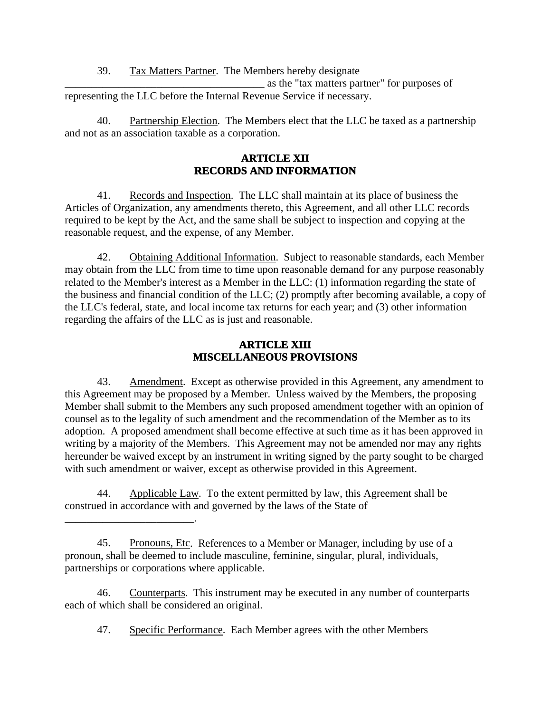39. Tax Matters Partner. The Members hereby designate

\_\_\_\_\_\_\_\_\_\_\_\_\_\_\_\_\_\_\_\_\_\_\_\_\_\_\_\_\_\_\_\_\_\_\_\_\_ as the "tax matters partner" for purposes of representing the LLC before the Internal Revenue Service if necessary.

40. Partnership Election. The Members elect that the LLC be taxed as a partnership and not as an association taxable as a corporation.

# **ARTICLE XII RECORDS AND INFORMATION**

41. Records and Inspection. The LLC shall maintain at its place of business the Articles of Organization, any amendments thereto, this Agreement, and all other LLC records required to be kept by the Act, and the same shall be subject to inspection and copying at the reasonable request, and the expense, of any Member.

42. Obtaining Additional Information. Subject to reasonable standards, each Member may obtain from the LLC from time to time upon reasonable demand for any purpose reasonably related to the Member's interest as a Member in the LLC: (1) information regarding the state of the business and financial condition of the LLC; (2) promptly after becoming available, a copy of the LLC's federal, state, and local income tax returns for each year; and (3) other information regarding the affairs of the LLC as is just and reasonable.

## **ARTICLE XIII MISCELLANEOUS PROVISIONS**

43. Amendment. Except as otherwise provided in this Agreement, any amendment to this Agreement may be proposed by a Member. Unless waived by the Members, the proposing Member shall submit to the Members any such proposed amendment together with an opinion of counsel as to the legality of such amendment and the recommendation of the Member as to its adoption. A proposed amendment shall become effective at such time as it has been approved in writing by a majority of the Members. This Agreement may not be amended nor may any rights hereunder be waived except by an instrument in writing signed by the party sought to be charged with such amendment or waiver, except as otherwise provided in this Agreement.

44. Applicable Law. To the extent permitted by law, this Agreement shall be construed in accordance with and governed by the laws of the State of

\_\_\_\_\_\_\_\_\_\_\_\_\_\_\_\_\_\_\_\_\_\_\_\_.

45. Pronouns, Etc. References to a Member or Manager, including by use of a pronoun, shall be deemed to include masculine, feminine, singular, plural, individuals, partnerships or corporations where applicable.

46. Counterparts. This instrument may be executed in any number of counterparts each of which shall be considered an original.

47. Specific Performance. Each Member agrees with the other Members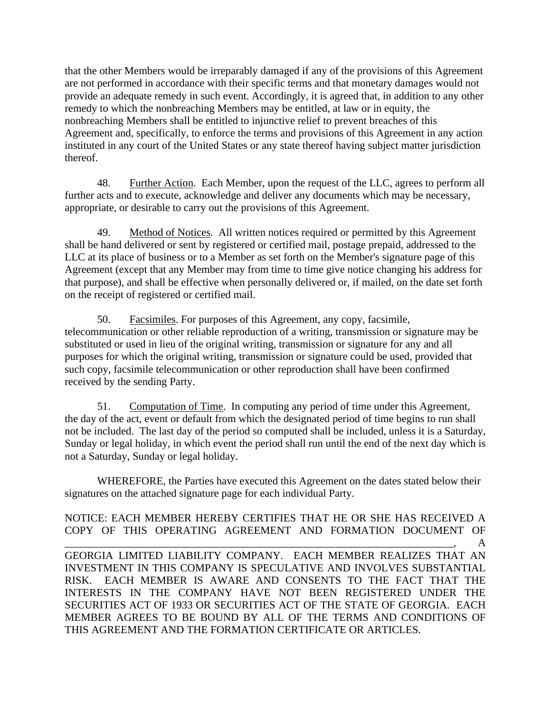that the other Members would be irreparably damaged if any of the provisions of this Agreement are not performed in accordance with their specific terms and that monetary damages would not provide an adequate remedy in such event. Accordingly, it is agreed that, in addition to any other remedy to which the nonbreaching Members may be entitled, at law or in equity, the nonbreaching Members shall be entitled to injunctive relief to prevent breaches of this Agreement and, specifically, to enforce the terms and provisions of this Agreement in any action instituted in any court of the United States or any state thereof having subject matter jurisdiction thereof.

48. Further Action. Each Member, upon the request of the LLC, agrees to perform all further acts and to execute, acknowledge and deliver any documents which may be necessary, appropriate, or desirable to carry out the provisions of this Agreement.

49. Method of Notices. All written notices required or permitted by this Agreement shall be hand delivered or sent by registered or certified mail, postage prepaid, addressed to the LLC at its place of business or to a Member as set forth on the Member's signature page of this Agreement (except that any Member may from time to time give notice changing his address for that purpose), and shall be effective when personally delivered or, if mailed, on the date set forth on the receipt of registered or certified mail.

50. Facsimiles. For purposes of this Agreement, any copy, facsimile, telecommunication or other reliable reproduction of a writing, transmission or signature may be substituted or used in lieu of the original writing, transmission or signature for any and all purposes for which the original writing, transmission or signature could be used, provided that such copy, facsimile telecommunication or other reproduction shall have been confirmed received by the sending Party.

51. Computation of Time. In computing any period of time under this Agreement, the day of the act, event or default from which the designated period of time begins to run shall not be included. The last day of the period so computed shall be included, unless it is a Saturday, Sunday or legal holiday, in which event the period shall run until the end of the next day which is not a Saturday, Sunday or legal holiday.

WHEREFORE, the Parties have executed this Agreement on the dates stated below their signatures on the attached signature page for each individual Party.

NOTICE: EACH MEMBER HEREBY CERTIFIES THAT HE OR SHE HAS RECEIVED A COPY OF THIS OPERATING AGREEMENT AND FORMATION DOCUMENT OF  $\qquad \qquad \qquad \qquad \qquad \text{A}$ GEORGIA LIMITED LIABILITY COMPANY. EACH MEMBER REALIZES THAT AN INVESTMENT IN THIS COMPANY IS SPECULATIVE AND INVOLVES SUBSTANTIAL RISK. EACH MEMBER IS AWARE AND CONSENTS TO THE FACT THAT THE INTERESTS IN THE COMPANY HAVE NOT BEEN REGISTERED UNDER THE SECURITIES ACT OF 1933 OR SECURITIES ACT OF THE STATE OF GEORGIA. EACH MEMBER AGREES TO BE BOUND BY ALL OF THE TERMS AND CONDITIONS OF THIS AGREEMENT AND THE FORMATION CERTIFICATE OR ARTICLES.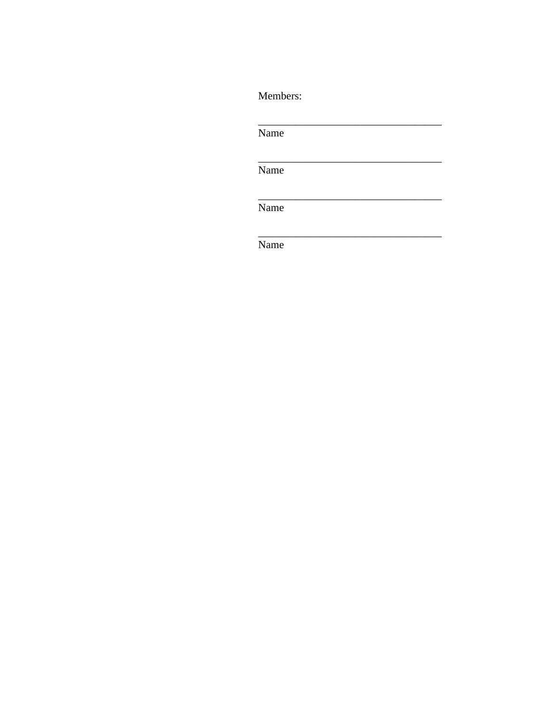Members:

Name Name Name

Name